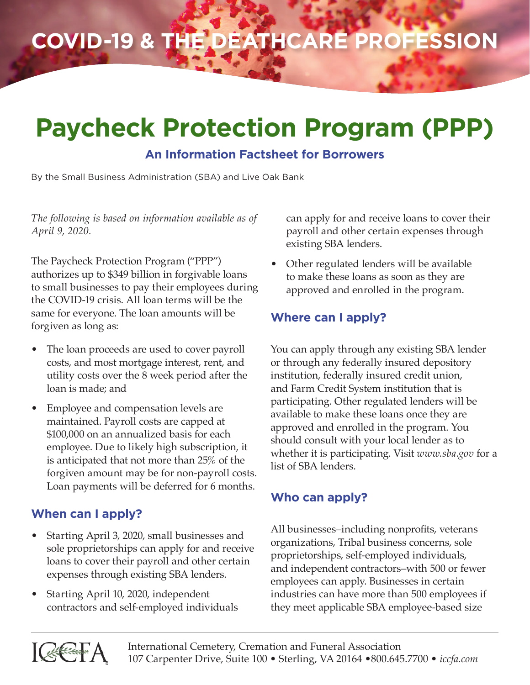# **COVID-19 & the Deathcare Profession**

## **Paycheck Protection Program (PPP)**

#### **An Information Factsheet for Borrowers**

By the Small Business Administration (SBA) and Live Oak Bank

*The following is based on information available as of April 9, 2020.*

The Paycheck Protection Program ("PPP") authorizes up to \$349 billion in forgivable loans to small businesses to pay their employees during the COVID-19 crisis. All loan terms will be the same for everyone. The loan amounts will be forgiven as long as:

- The loan proceeds are used to cover payroll costs, and most mortgage interest, rent, and utility costs over the 8 week period after the loan is made; and
- Employee and compensation levels are maintained. Payroll costs are capped at \$100,000 on an annualized basis for each employee. Due to likely high subscription, it is anticipated that not more than 25% of the forgiven amount may be for non-payroll costs. Loan payments will be deferred for 6 months.

## **When can I apply?**

- Starting April 3, 2020, small businesses and sole proprietorships can apply for and receive loans to cover their payroll and other certain expenses through existing SBA lenders.
- Starting April 10, 2020, independent contractors and self-employed individuals

can apply for and receive loans to cover their payroll and other certain expenses through existing SBA lenders.

• Other regulated lenders will be available to make these loans as soon as they are approved and enrolled in the program.

## **Where can I apply?**

You can apply through any existing SBA lender or through any federally insured depository institution, federally insured credit union, and Farm Credit System institution that is participating. Other regulated lenders will be available to make these loans once they are approved and enrolled in the program. You should consult with your local lender as to whether it is participating. Visit *www.sba.gov* for a list of SBA lenders.

#### **Who can apply?**

All businesses–including nonprofits, veterans organizations, Tribal business concerns, sole proprietorships, self-employed individuals, and independent contractors–with 500 or fewer employees can apply. Businesses in certain industries can have more than 500 employees if they meet applicable SBA employee-based size

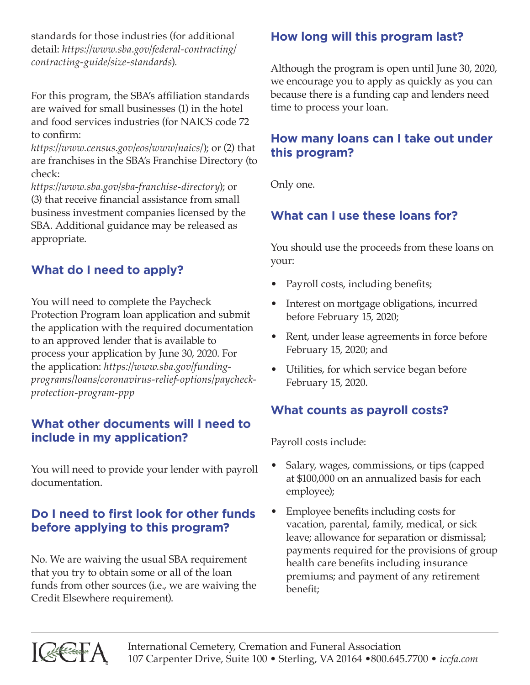standards for those industries (for additional detail: *https://www.sba.gov/federal-contracting/ contracting-guide/size-standards*).

For this program, the SBA's affiliation standards are waived for small businesses (1) in the hotel and food services industries (for NAICS code 72 to confirm:

*https://www.census.gov/eos/www/naics/*); or (2) that are franchises in the SBA's Franchise Directory (to check:

*https://www.sba.gov/sba-franchise-directory*); or (3) that receive financial assistance from small business investment companies licensed by the SBA. Additional guidance may be released as appropriate.

## **What do I need to apply?**

You will need to complete the Paycheck Protection Program loan application and submit the application with the required documentation to an approved lender that is available to process your application by June 30, 2020. For the application: *https://www.sba.gov/fundingprograms/loans/coronavirus-relief-options/paycheckprotection-program-ppp*

#### **What other documents will I need to include in my application?**

You will need to provide your lender with payroll documentation.

## **Do I need to first look for other funds before applying to this program?**

No. We are waiving the usual SBA requirement that you try to obtain some or all of the loan funds from other sources (i.e., we are waiving the Credit Elsewhere requirement).

## **How long will this program last?**

Although the program is open until June 30, 2020, we encourage you to apply as quickly as you can because there is a funding cap and lenders need time to process your loan.

## **How many loans can I take out under this program?**

Only one.

## **What can I use these loans for?**

You should use the proceeds from these loans on your:

- Payroll costs, including benefits;
- Interest on mortgage obligations, incurred before February 15, 2020;
- Rent, under lease agreements in force before February 15, 2020; and
- Utilities, for which service began before February 15, 2020.

## **What counts as payroll costs?**

Payroll costs include:

- Salary, wages, commissions, or tips (capped at \$100,000 on an annualized basis for each employee);
- Employee benefits including costs for vacation, parental, family, medical, or sick leave; allowance for separation or dismissal; payments required for the provisions of group health care benefits including insurance premiums; and payment of any retirement benefit;

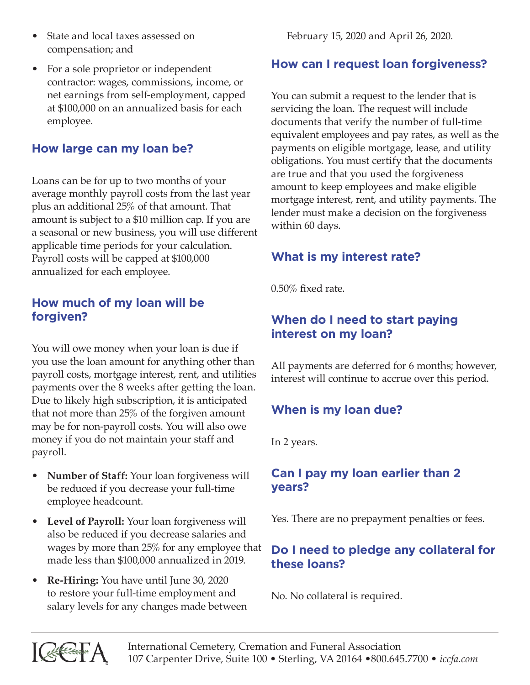- State and local taxes assessed on compensation; and
- For a sole proprietor or independent contractor: wages, commissions, income, or net earnings from self-employment, capped at \$100,000 on an annualized basis for each employee.

## **How large can my loan be?**

Loans can be for up to two months of your average monthly payroll costs from the last year plus an additional 25% of that amount. That amount is subject to a \$10 million cap. If you are a seasonal or new business, you will use different applicable time periods for your calculation. Payroll costs will be capped at \$100,000 annualized for each employee.

#### **How much of my loan will be forgiven?**

You will owe money when your loan is due if you use the loan amount for anything other than payroll costs, mortgage interest, rent, and utilities payments over the 8 weeks after getting the loan. Due to likely high subscription, it is anticipated that not more than 25% of the forgiven amount may be for non-payroll costs. You will also owe money if you do not maintain your staff and payroll.

- **Number of Staff:** Your loan forgiveness will be reduced if you decrease your full-time employee headcount.
- **Level of Payroll:** Your loan forgiveness will also be reduced if you decrease salaries and wages by more than 25% for any employee that made less than \$100,000 annualized in 2019.
- **Re-Hiring:** You have until June 30, 2020 to restore your full-time employment and salary levels for any changes made between

February 15, 2020 and April 26, 2020.

#### **How can I request loan forgiveness?**

You can submit a request to the lender that is servicing the loan. The request will include documents that verify the number of full-time equivalent employees and pay rates, as well as the payments on eligible mortgage, lease, and utility obligations. You must certify that the documents are true and that you used the forgiveness amount to keep employees and make eligible mortgage interest, rent, and utility payments. The lender must make a decision on the forgiveness within 60 days.

## **What is my interest rate?**

0.50% fixed rate.

## **When do I need to start paying interest on my loan?**

All payments are deferred for 6 months; however, interest will continue to accrue over this period.

## **When is my loan due?**

In 2 years.

## **Can I pay my loan earlier than 2 years?**

Yes. There are no prepayment penalties or fees.

## **Do I need to pledge any collateral for these loans?**

No. No collateral is required.